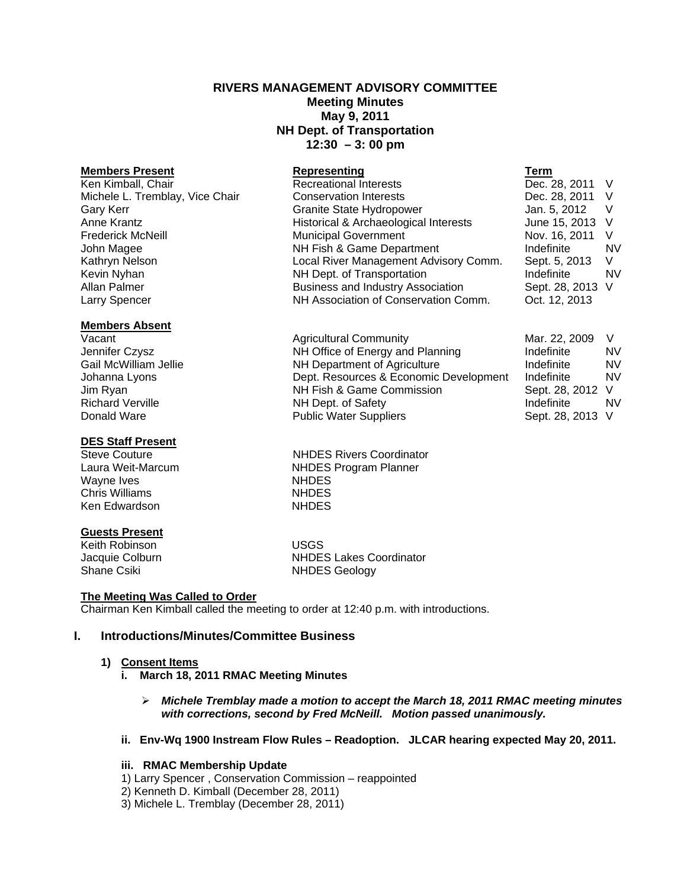# **RIVERS MANAGEMENT ADVISORY COMMITTEE Meeting Minutes May 9, 2011 NH Dept. of Transportation 12:30 – 3: 00 pm**

#### **Members Present Representing**

Ken Kimball, Chair **Recreational Interests** Michele L. Tremblay, Vice Chair Conservation Interests Gary Kerr Granite State Hydropower Anne Krantz **Historical & Archaeological Interests** Frederick McNeill Municipal Government John Magee NH Fish & Game Department Kathryn Nelson **Local River Management Advisory Comm.** Local River Management Advisory Comm. Kevin Nyhan NH Dept. of Transportation Allan Palmer **Business and Industry Association** Business and Industry Association Larry Spencer **NH Association of Conservation Comm.** Only 2014

# **Members Absent**<br>Vacant

Jennifer Czysz **NH Office of Energy and Planning** Gail McWilliam Jellie NH Department of Agriculture Johanna Lyons **Dept. Resources & Economic Developm** Jim Ryan NH Fish & Game Commission Richard Verville **NH Dept. of Safety**<br>
Donald Ware **NH** Dept. of Supplie Nater Supplies

#### **DES Staff Present**

Wayne Ives **NHDES Chris Williams** NHDES Ken Edwardson NHDES

### **Guests Present**

Keith Robinson USGS

Steve Couture **NHDES** Rivers Coordinator Laura Weit-Marcum NHDES Program Planner

Agricultural Community

Public Water Suppliers

Jacquie Colburn NHDES Lakes Coordinator Shane Csiki NHDES Geology

## **The Meeting Was Called to Order**

Chairman Ken Kimball called the meeting to order at 12:40 p.m. with introductions.

# **I. Introductions/Minutes/Committee Business**

### **1) Consent Items**

- **i. March 18, 2011 RMAC Meeting Minutes** 
	- ¾ *Michele Tremblay made a motion to accept the March 18, 2011 RMAC meeting minutes with corrections, second by Fred McNeill. Motion passed unanimously.*
- **ii.****Env-Wq 1900 Instream Flow Rules Readoption. JLCAR hearing expected May 20, 2011.**

### **iii. RMAC Membership Update**

- 1) Larry Spencer , Conservation Commission reappointed
- 2) Kenneth D. Kimball (December 28, 2011)
- 3) Michele L. Tremblay (December 28, 2011)

| Term |                |    |
|------|----------------|----|
|      | Dec. 28, 2011  | V  |
|      | Dec. 28, 2011  | V  |
|      | Jan. 5, 2012   | V  |
|      | June 15, 2013  | V  |
|      | Nov. 16, 2011  | V  |
|      | Indefinite     | NV |
|      | Sept. 5, 2013  | V  |
|      | Indefinite     | NV |
|      | Sept. 28, 2013 | V  |
|      | Oct. 12, 2013  |    |

|      | Mar. 22, 2009  | V  |
|------|----------------|----|
|      | Indefinite     | NV |
|      | Indefinite     | NV |
| ıent | Indefinite     | NV |
|      | Sept. 28, 2012 | V  |
|      | Indefinite     | NV |
|      | Sept. 28, 2013 | V  |
|      |                |    |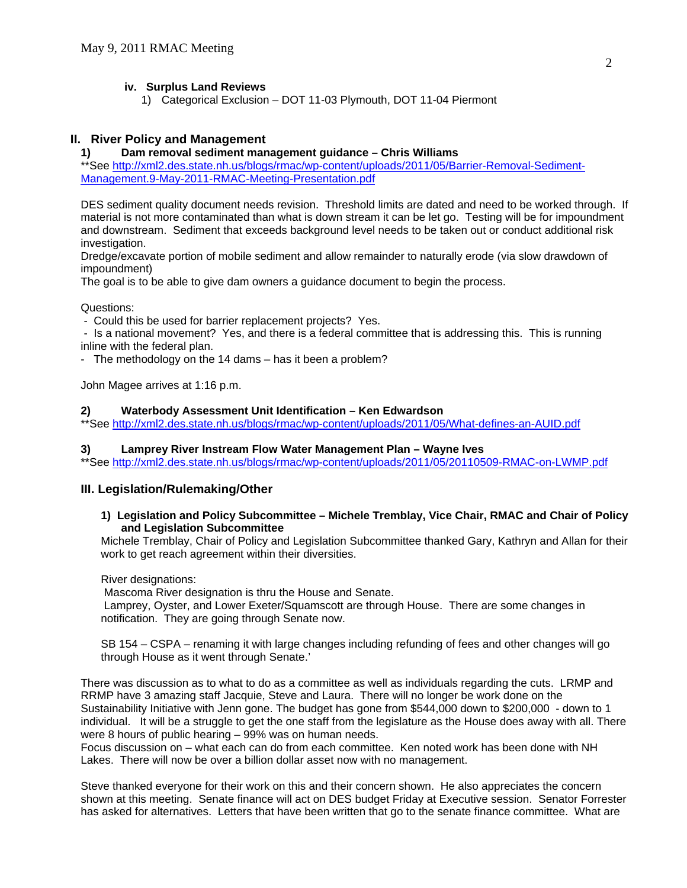## **iv. Surplus Land Reviews**

1) Categorical Exclusion – DOT 11-03 Plymouth, DOT 11-04 Piermont

## **II. River Policy and Management**

## **1) Dam removal sediment management guidance – Chris Williams**

\*\*See [http://xml2.des.state.nh.us/blogs/rmac/wp-content/uploads/2011/05/Barrier-Removal-Sediment-](http://xml2.des.state.nh.us/blogs/rmac/wp-content/uploads/2011/05/Barrier-Removal-Sediment-Management.9-May-2011-RMAC-Meeting-Presentation.pdf)[Management.9-May-2011-RMAC-Meeting-Presentation.pdf](http://xml2.des.state.nh.us/blogs/rmac/wp-content/uploads/2011/05/Barrier-Removal-Sediment-Management.9-May-2011-RMAC-Meeting-Presentation.pdf)

DES sediment quality document needs revision. Threshold limits are dated and need to be worked through. If material is not more contaminated than what is down stream it can be let go. Testing will be for impoundment and downstream. Sediment that exceeds background level needs to be taken out or conduct additional risk investigation.

Dredge/excavate portion of mobile sediment and allow remainder to naturally erode (via slow drawdown of impoundment)

The goal is to be able to give dam owners a guidance document to begin the process.

Questions:

- Could this be used for barrier replacement projects? Yes.

 - Is a national movement? Yes, and there is a federal committee that is addressing this. This is running inline with the federal plan.

- The methodology on the 14 dams – has it been a problem?

John Magee arrives at 1:16 p.m.

### **2) Waterbody Assessment Unit Identification – Ken Edwardson**

\*\*See<http://xml2.des.state.nh.us/blogs/rmac/wp-content/uploads/2011/05/What-defines-an-AUID.pdf>

### **3) Lamprey River Instream Flow Water Management Plan – Wayne Ives**

\*\*See<http://xml2.des.state.nh.us/blogs/rmac/wp-content/uploads/2011/05/20110509-RMAC-on-LWMP.pdf>

## **III. Legislation/Rulemaking/Other**

### **1) Legislation and Policy Subcommittee – Michele Tremblay, Vice Chair, RMAC and Chair of Policy and Legislation Subcommittee**

Michele Tremblay, Chair of Policy and Legislation Subcommittee thanked Gary, Kathryn and Allan for their work to get reach agreement within their diversities.

River designations:

Mascoma River designation is thru the House and Senate.

 Lamprey, Oyster, and Lower Exeter/Squamscott are through House. There are some changes in notification. They are going through Senate now.

SB 154 – CSPA – renaming it with large changes including refunding of fees and other changes will go through House as it went through Senate.'

There was discussion as to what to do as a committee as well as individuals regarding the cuts. LRMP and RRMP have 3 amazing staff Jacquie, Steve and Laura. There will no longer be work done on the Sustainability Initiative with Jenn gone. The budget has gone from \$544,000 down to \$200,000 - down to 1 individual. It will be a struggle to get the one staff from the legislature as the House does away with all. There were 8 hours of public hearing – 99% was on human needs.

Focus discussion on – what each can do from each committee. Ken noted work has been done with NH Lakes. There will now be over a billion dollar asset now with no management.

Steve thanked everyone for their work on this and their concern shown. He also appreciates the concern shown at this meeting. Senate finance will act on DES budget Friday at Executive session. Senator Forrester has asked for alternatives. Letters that have been written that go to the senate finance committee. What are